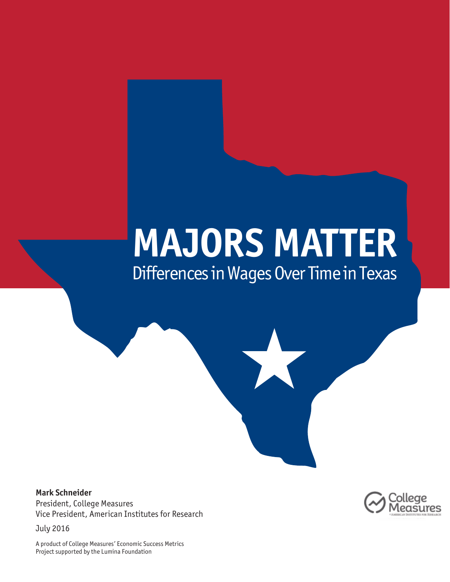# **MAJORS MATTER** Differences in Wages Over Time in Texas

X

**Mark Schneider** President, College Measures Vice President, American Institutes for Research

July 2016

asures

A product of College Measures' Economic Success Metrics Project supported by the Lumina Foundation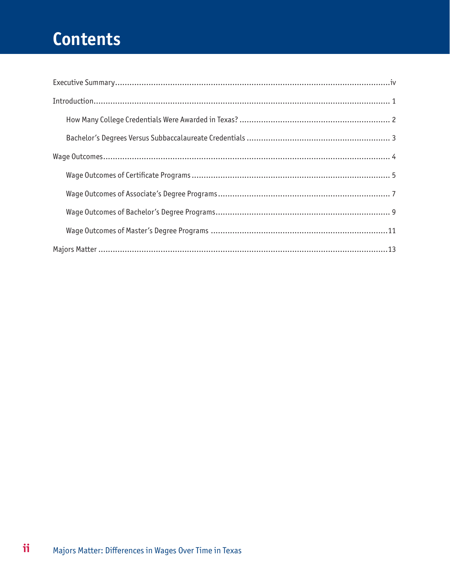## Contents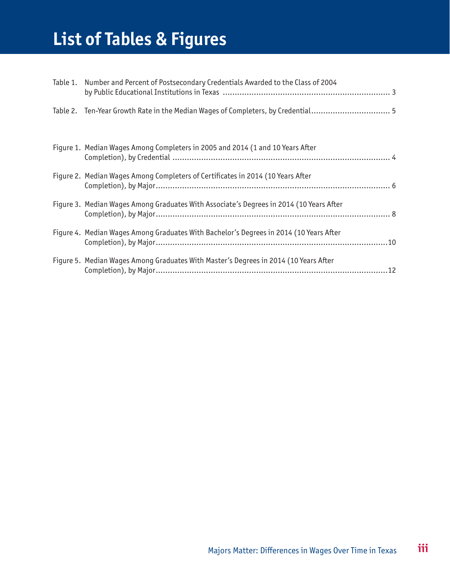## **List of Tables & Figures**

| Table 1. Number and Percent of Postsecondary Credentials Awarded to the Class of 2004   |  |
|-----------------------------------------------------------------------------------------|--|
| Table 2. Ten-Year Growth Rate in the Median Wages of Completers, by Credential 5        |  |
|                                                                                         |  |
| Figure 1. Median Wages Among Completers in 2005 and 2014 (1 and 10 Years After          |  |
| Figure 2. Median Wages Among Completers of Certificates in 2014 (10 Years After         |  |
| Figure 3. Median Wages Among Graduates With Associate's Degrees in 2014 (10 Years After |  |
| Figure 4. Median Wages Among Graduates With Bachelor's Degrees in 2014 (10 Years After  |  |
| Figure 5. Median Wages Among Graduates With Master's Degrees in 2014 (10 Years After    |  |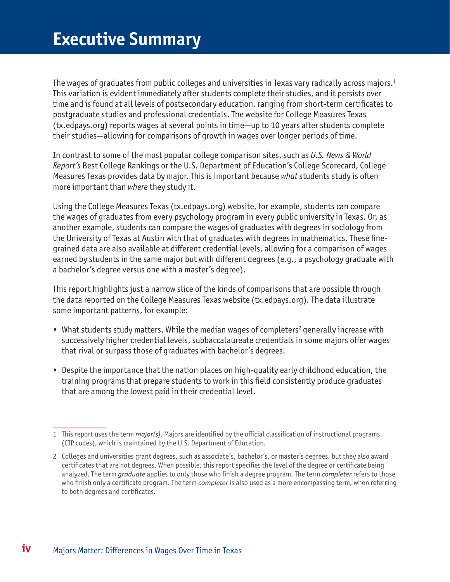<span id="page-3-0"></span>The wages of graduates from public colleges and universities in Texas vary radically across majors.<sup>1</sup> This variation is evident immediately after students complete their studies, and it persists over time and is found at all levels of postsecondary education, ranging from short-term certificates to postgraduate studies and professional credentials. The website for College Measures Texas [\(tx.edpays.org](http://tx.edpays.org)) reports wages at several points in time—up to 10 years after students complete their studies—allowing for comparisons of growth in wages over longer periods of time.

In contrast to some of the most popular college comparison sites, such as *U.S. News & World Report's* Best College Rankings or the U.S. Department of Education's College Scorecard, College Measures Texas provides data by major. This is important because *what* students study is often more important than *where* they study it.

Using the College Measures Texas ([tx.edpays.org\)](http://tx.edpays.org) website, for example, students can compare the wages of graduates from every psychology program in every public university in Texas. Or, as another example, students can compare the wages of graduates with degrees in sociology from the University of Texas at Austin with that of graduates with degrees in mathematics. These finegrained data are also available at different credential levels, allowing for a comparison of wages earned by students in the same major but with different degrees (e.g., a psychology graduate with a bachelor's degree versus one with a master's degree).

This report highlights just a narrow slice of the kinds of comparisons that are possible through the data reported on the College Measures Texas website ([tx.edpays.org\)](http://tx.edpays.org). The data illustrate some important patterns, for example:

- What students study matters. While the median wages of completers<sup>2</sup> generally increase with successively higher credential levels, subbaccalaureate credentials in some majors offer wages that rival or surpass those of graduates with bachelor's degrees.
- Despite the importance that the nation places on high-quality early childhood education, the training programs that prepare students to work in this field consistently produce graduates that are among the lowest paid in their credential level.

<sup>1</sup> This report uses the term *major(s)*. Majors are identified by the official classification of instructional programs (CIP codes), which is maintained by the U.S. Department of Education.

<sup>2</sup> Colleges and universities grant degrees, such as associate's, bachelor's, or master's degrees, but they also award certificates that are not degrees. When possible, this report specifies the level of the degree or certificate being analyzed. The term *graduate* applies to only those who finish a degree program. The term *completer* refers to those who finish only a certificate program. The term *completer* is also used as a more encompassing term, when referring to both degrees and certificates.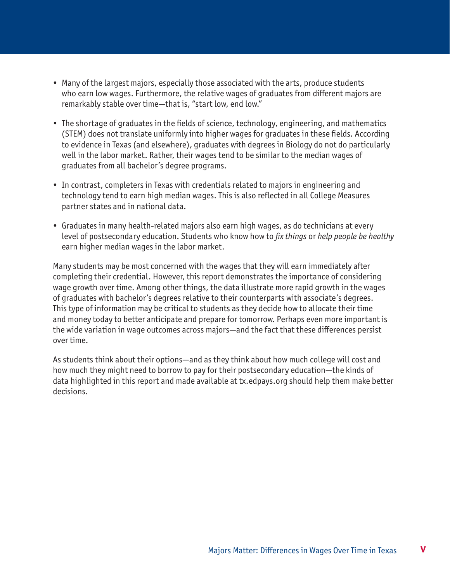- Many of the largest majors, especially those associated with the arts, produce students who earn low wages. Furthermore, the relative wages of graduates from different majors are remarkably stable over time—that is, "start low, end low."
- The shortage of graduates in the fields of science, technology, engineering, and mathematics (STEM) does not translate uniformly into higher wages for graduates in these fields. According to evidence in Texas (and elsewhere), graduates with degrees in Biology do not do particularly well in the labor market. Rather, their wages tend to be similar to the median wages of graduates from all bachelor's degree programs.
- In contrast, completers in Texas with credentials related to majors in engineering and technology tend to earn high median wages. This is also reflected in all College Measures partner states and in national data.
- Graduates in many health-related majors also earn high wages, as do technicians at every level of postsecondary education. Students who know how to *fix things* or *help people be healthy* earn higher median wages in the labor market.

Many students may be most concerned with the wages that they will earn immediately after completing their credential. However, this report demonstrates the importance of considering wage growth over time. Among other things, the data illustrate more rapid growth in the wages of graduates with bachelor's degrees relative to their counterparts with associate's degrees. This type of information may be critical to students as they decide how to allocate their time and money today to better anticipate and prepare for tomorrow. Perhaps even more important is the wide variation in wage outcomes across majors—and the fact that these differences persist over time.

As students think about their options—and as they think about how much college will cost and how much they might need to borrow to pay for their postsecondary education—the kinds of data highlighted in this report and made available at [tx.edpays.org](http://tx.edpays.org) should help them make better decisions.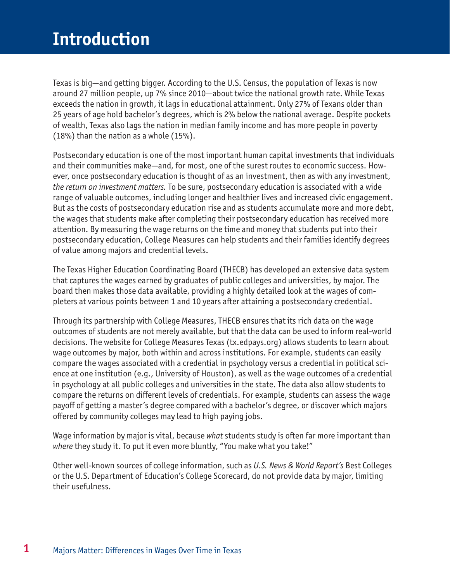<span id="page-5-0"></span>Texas is big—and getting bigger. According to the U.S. Census, the population of Texas is now around 27 million people, up 7% since 2010—about twice the national growth rate. While Texas exceeds the nation in growth, it lags in educational attainment. Only 27% of Texans older than 25 years of age hold bachelor's degrees, which is 2% below the national average. Despite pockets of wealth, Texas also lags the nation in median family income and has more people in poverty (18%) than the nation as a whole (15%).

Postsecondary education is one of the most important human capital investments that individuals and their communities make—and, for most, one of the surest routes to economic success. However, once postsecondary education is thought of as an investment, then as with any investment, *the return on investment matters.* To be sure, postsecondary education is associated with a wide range of valuable outcomes, including longer and healthier lives and increased civic engagement. But as the costs of postsecondary education rise and as students accumulate more and more debt, the wages that students make after completing their postsecondary education has received more attention. By measuring the wage returns on the time and money that students put into their postsecondary education, College Measures can help students and their families identify degrees of value among majors and credential levels.

The Texas Higher Education Coordinating Board (THECB) has developed an extensive data system that captures the wages earned by graduates of public colleges and universities, by major. The board then makes those data available, providing a highly detailed look at the wages of completers at various points between 1 and 10 years after attaining a postsecondary credential.

Through its partnership with College Measures, THECB ensures that its rich data on the wage outcomes of students are not merely available, but that the data can be used to inform real-world decisions. The website for College Measures Texas ([tx.edpays.org\)](http://tx.edpays.org) allows students to learn about wage outcomes by major, both within and across institutions. For example, students can easily compare the wages associated with a credential in psychology versus a credential in political science at one institution (e.g., University of Houston), as well as the wage outcomes of a credential in psychology at all public colleges and universities in the state. The data also allow students to compare the returns on different levels of credentials. For example, students can assess the wage payoff of getting a master's degree compared with a bachelor's degree, or discover which majors offered by community colleges may lead to high paying jobs.

Wage information by major is vital, because *what* students study is often far more important than *where* they study it. To put it even more bluntly, "You make what you take!"

Other well-known sources of college information, such as *U.S. News & World Report's* Best Colleges or the U.S. Department of Education's College Scorecard, do not provide data by major, limiting their usefulness.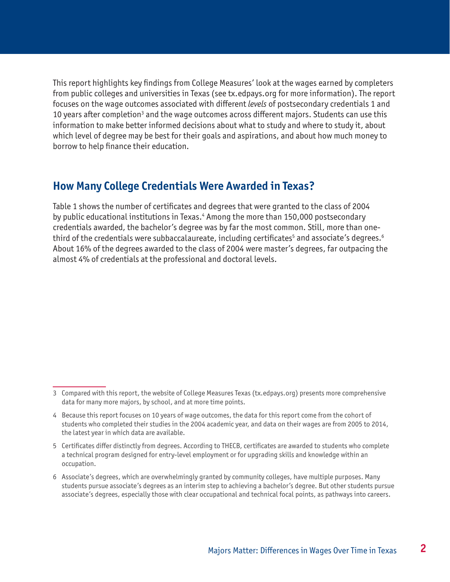<span id="page-6-0"></span>This report highlights key findings from College Measures' look at the wages earned by completers from public colleges and universities in Texas (see [tx.edpays.org](http://tx.edpays.org) for more information). The report focuses on the wage outcomes associated with different *levels* of postsecondary credentials 1 and 10 years after completion<sup>3</sup> and the wage outcomes across different majors. Students can use this information to make better informed decisions about what to study and where to study it, about which level of degree may be best for their goals and aspirations, and about how much money to borrow to help finance their education.

### **How Many College Credentials Were Awarded in Texas?**

Table 1 shows the number of certificates and degrees that were granted to the class of 2004 by public educational institutions in Texas.<sup>4</sup> Among the more than 150,000 postsecondary credentials awarded, the bachelor's degree was by far the most common. Still, more than onethird of the credentials were subbaccalaureate, including certificates $^{\rm 5}$  and associate's degrees. $^{\rm 6}$ About 16% of the degrees awarded to the class of 2004 were master's degrees, far outpacing the almost 4% of credentials at the professional and doctoral levels.

<sup>3</sup> Compared with this report, the website of College Measures Texas [\(tx.edpays.org\)](http://tx.edpays.org) presents more comprehensive data for many more majors, by school, and at more time points.

<sup>4</sup> Because this report focuses on 10 years of wage outcomes, the data for this report come from the cohort of students who completed their studies in the 2004 academic year, and data on their wages are from 2005 to 2014, the latest year in which data are available.

<sup>5</sup> Certificates differ distinctly from degrees. According to THECB, certificates are awarded to students who complete a technical program designed for entry-level employment or for upgrading skills and knowledge within an occupation.

<sup>6</sup> Associate's degrees, which are overwhelmingly granted by community colleges, have multiple purposes. Many students pursue associate's degrees as an interim step to achieving a bachelor's degree. But other students pursue associate's degrees, especially those with clear occupational and technical focal points, as pathways into careers.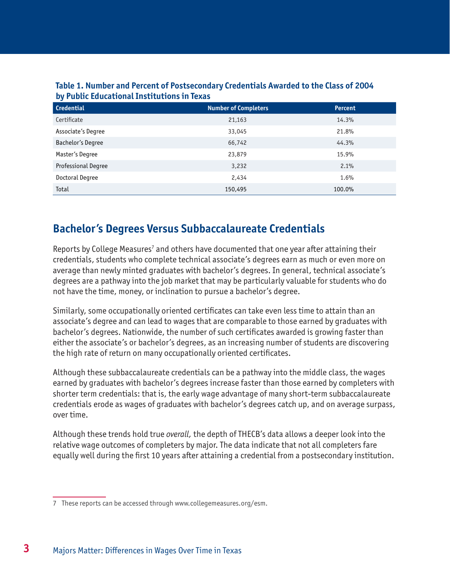| <b>Credential</b>   | <b>Number of Completers</b> | <b>Percent</b> |  |  |
|---------------------|-----------------------------|----------------|--|--|
| Certificate         | 21,163                      | 14.3%          |  |  |
| Associate's Degree  | 33,045                      | 21.8%          |  |  |
| Bachelor's Degree   | 66,742                      | 44.3%          |  |  |
| Master's Degree     | 23,879                      | 15.9%          |  |  |
| Professional Degree | 3,232                       | 2.1%           |  |  |
| Doctoral Degree     | 2,434                       | 1.6%           |  |  |
| Total               | 150,495                     | 100.0%         |  |  |

#### <span id="page-7-0"></span>**Table 1. Number and Percent of Postsecondary Credentials Awarded to the Class of 2004 by Public Educational Institutions in Texas**

## **Bachelor's Degrees Versus Subbaccalaureate Credentials**

Reports by College Measures<sup>7</sup> and others have documented that one year after attaining their credentials, students who complete technical associate's degrees earn as much or even more on average than newly minted graduates with bachelor's degrees. In general, technical associate's degrees are a pathway into the job market that may be particularly valuable for students who do not have the time, money, or inclination to pursue a bachelor's degree.

Similarly, some occupationally oriented certificates can take even less time to attain than an associate's degree and can lead to wages that are comparable to those earned by graduates with bachelor's degrees. Nationwide, the number of such certificates awarded is growing faster than either the associate's or bachelor's degrees, as an increasing number of students are discovering the high rate of return on many occupationally oriented certificates.

Although these subbaccalaureate credentials can be a pathway into the middle class, the wages earned by graduates with bachelor's degrees increase faster than those earned by completers with shorter term credentials: that is, the early wage advantage of many short-term subbaccalaureate credentials erode as wages of graduates with bachelor's degrees catch up, and on average surpass, over time.

Although these trends hold true *overall,* the depth of THECB's data allows a deeper look into the relative wage outcomes of completers by major. The data indicate that not all completers fare equally well during the first 10 years after attaining a credential from a postsecondary institution.

<sup>7</sup> These reports can be accessed through [www.collegemeasures.org/esm](http://www.collegemeasures.org/esm).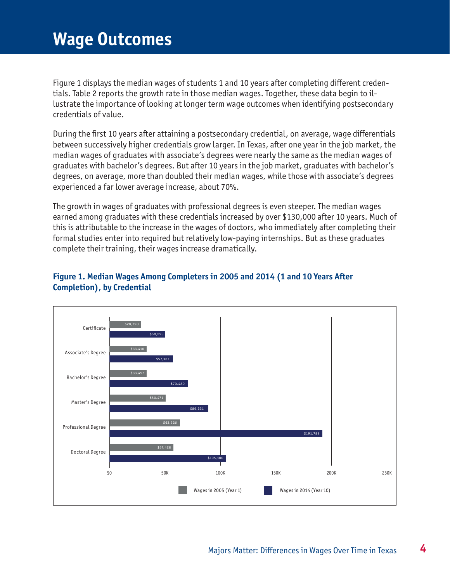## <span id="page-8-0"></span>**Wage Outcomes**

Figure 1 displays the median wages of students 1 and 10 years after completing different credentials. Table 2 reports the growth rate in those median wages. Together, these data begin to illustrate the importance of looking at longer term wage outcomes when identifying postsecondary credentials of value.

During the first 10 years after attaining a postsecondary credential, on average, wage differentials between successively higher credentials grow larger. In Texas, after one year in the job market, the median wages of graduates with associate's degrees were nearly the same as the median wages of graduates with bachelor's degrees. But after 10 years in the job market, graduates with bachelor's degrees, on average, more than doubled their median wages, while those with associate's degrees experienced a far lower average increase, about 70%.

The growth in wages of graduates with professional degrees is even steeper. The median wages earned among graduates with these credentials increased by over \$130,000 after 10 years. Much of this is attributable to the increase in the wages of doctors, who immediately after completing their formal studies enter into required but relatively low-paying internships. But as these graduates complete their training, their wages increase dramatically.



### **Figure 1. Median Wages Among Completers in 2005 and 2014 (1 and 10 Years After Completion), by Credential**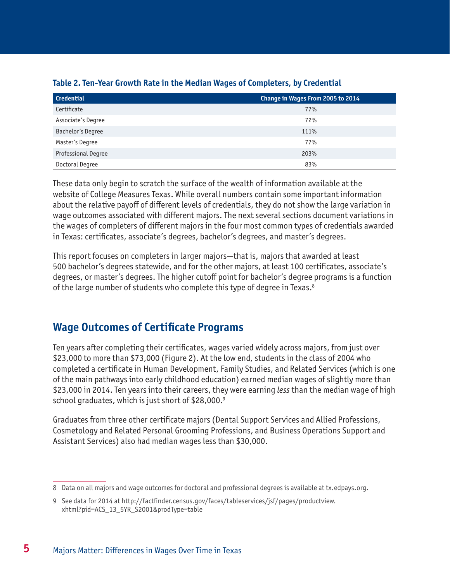| <b>Credential</b>          | Change in Wages From 2005 to 2014 |
|----------------------------|-----------------------------------|
| Certificate                | 77%                               |
| Associate's Degree         | 72%                               |
| Bachelor's Degree          | 111%                              |
| Master's Degree            | 77%                               |
| <b>Professional Degree</b> | 203%                              |
| Doctoral Degree            | 83%                               |

### <span id="page-9-0"></span>**Table 2. Ten-Year Growth Rate in the Median Wages of Completers, by Credential**

These data only begin to scratch the surface of the wealth of information available at the website of College Measures Texas. While overall numbers contain some important information about the relative payoff of different levels of credentials, they do not show the large variation in wage outcomes associated with different majors. The next several sections document variations in the wages of completers of different majors in the four most common types of credentials awarded in Texas: certificates, associate's degrees, bachelor's degrees, and master's degrees.

This report focuses on completers in larger majors—that is, majors that awarded at least 500 bachelor's degrees statewide, and for the other majors, at least 100 certificates, associate's degrees, or master's degrees. The higher cutoff point for bachelor's degree programs is a function of the large number of students who complete this type of degree in Texas.<sup>8</sup>

## **Wage Outcomes of Certificate Programs**

Ten years after completing their certificates, wages varied widely across majors, from just over \$23,000 to more than \$73,000 (Figure 2). At the low end, students in the class of 2004 who completed a certificate in Human Development, Family Studies, and Related Services (which is one of the main pathways into early childhood education) earned median wages of slightly more than \$23,000 in 2014. Ten years into their careers, they were earning *less* than the median wage of high school graduates, which is just short of \$28,000.<sup>9</sup>

Graduates from three other certificate majors (Dental Support Services and Allied Professions, Cosmetology and Related Personal Grooming Professions, and Business Operations Support and Assistant Services) also had median wages less than \$30,000.

<sup>8</sup> Data on all majors and wage outcomes for doctoral and professional degrees is available at [tx.edpays.org.](http://tx.edpays.org)

<sup>9</sup> See data for 2014 at [http://factfinder.census.gov/faces/tableservices/jsf/pages/productview.](http://factfinder.census.gov/faces/tableservices/jsf/pages/productview.xhtml?pid=ACS_13_5YR_S2001&prodType=table) [xhtml?pid=ACS\\_13\\_5YR\\_S2001&prodType=table](http://factfinder.census.gov/faces/tableservices/jsf/pages/productview.xhtml?pid=ACS_13_5YR_S2001&prodType=table)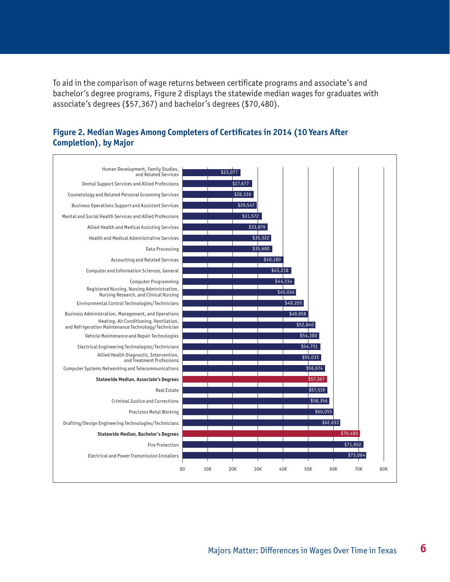<span id="page-10-0"></span>To aid in the comparison of wage returns between certificate programs and associate's and bachelor's degree programs, Figure 2 displays the statewide median wages for graduates with associate's degrees (\$57,367) and bachelor's degrees (\$70,480).



#### **Figure 2. Median Wages Among Completers of Certificates in 2014 (10 Years After Completion), by Major**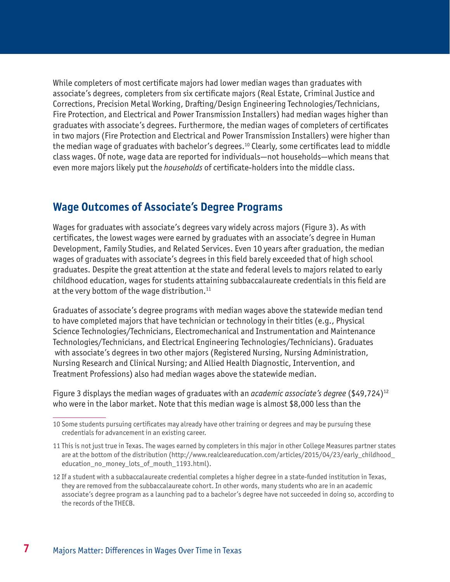<span id="page-11-0"></span>While completers of most certificate majors had lower median wages than graduates with associate's degrees, completers from six certificate majors (Real Estate, Criminal Justice and Corrections, Precision Metal Working, Drafting/Design Engineering Technologies/Technicians, Fire Protection, and Electrical and Power Transmission Installers) had median wages higher than graduates with associate's degrees. Furthermore, the median wages of completers of certificates in two majors (Fire Protection and Electrical and Power Transmission Installers) were higher than the median wage of graduates with bachelor's degrees.<sup>10</sup> Clearly, some certificates lead to middle class wages. Of note, wage data are reported for individuals—not households—which means that even more majors likely put the *households* of certificate-holders into the middle class.

### **Wage Outcomes of Associate's Degree Programs**

Wages for graduates with associate's degrees vary widely across majors (Figure 3). As with certificates, the lowest wages were earned by graduates with an associate's degree in Human Development, Family Studies, and Related Services. Even 10 years after graduation, the median wages of graduates with associate's degrees in this field barely exceeded that of high school graduates. Despite the great attention at the state and federal levels to majors related to early childhood education, wages for students attaining subbaccalaureate credentials in this field are at the very bottom of the wage distribution.<sup>11</sup>

Graduates of associate's degree programs with median wages above the statewide median tend to have completed majors that have technician or technology in their titles (e.g., Physical Science Technologies/Technicians, Electromechanical and Instrumentation and Maintenance Technologies/Technicians, and Electrical Engineering Technologies/Technicians). Graduates with associate's degrees in two other majors (Registered Nursing, Nursing Administration, Nursing Research and Clinical Nursing; and Allied Health Diagnostic, Intervention, and Treatment Professions) also had median wages above the statewide median.

Figure 3 displays the median wages of graduates with an *academic associate's degree* (\$49,724)12 who were in the labor market. Note that this median wage is almost \$8,000 less than the

<sup>10</sup> Some students pursuing certificates may already have other training or degrees and may be pursuing these credentials for advancement in an existing career.

<sup>11</sup> This is not just true in Texas. The wages earned by completers in this major in other College Measures partner states are at the bottom of the distribution [\(http://www.realcleareducation.com/articles/2015/04/23/early\\_childhood\\_](http://www.realcleareducation.com/articles/2015/04/23/early_childhood_education_no_money_lots_of_mouth_1193.html) [education\\_no\\_money\\_lots\\_of\\_mouth\\_1193.html](http://www.realcleareducation.com/articles/2015/04/23/early_childhood_education_no_money_lots_of_mouth_1193.html)).

<sup>12</sup> If a student with a subbaccalaureate credential completes a higher degree in a state-funded institution in Texas, they are removed from the subbaccalaureate cohort. In other words, many students who are in an academic associate's degree program as a launching pad to a bachelor's degree have not succeeded in doing so, according to the records of the THECB.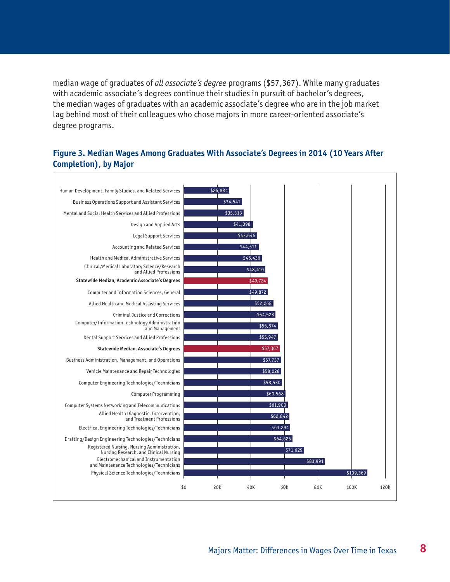<span id="page-12-0"></span>median wage of graduates of *all associate's degree* programs (\$57,367). While many graduates with academic associate's degrees continue their studies in pursuit of bachelor's degrees, the median wages of graduates with an academic associate's degree who are in the job market lag behind most of their colleagues who chose majors in more career-oriented associate's degree programs.

#### **Figure 3. Median Wages Among Graduates With Associate's Degrees in 2014 (10 Years After Completion), by Major**

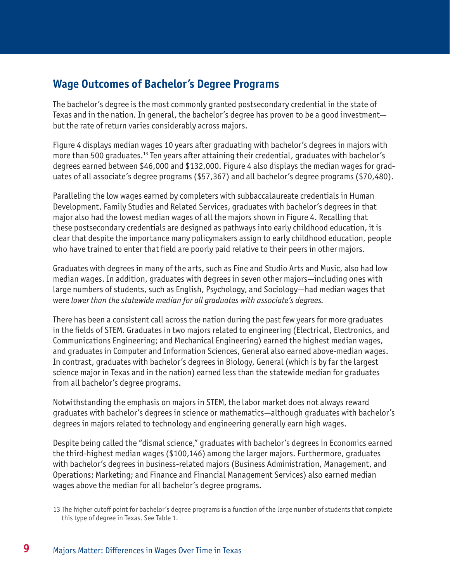## <span id="page-13-0"></span>**Wage Outcomes of Bachelor's Degree Programs**

The bachelor's degree is the most commonly granted postsecondary credential in the state of Texas and in the nation. In general, the bachelor's degree has proven to be a good investment but the rate of return varies considerably across majors.

Figure 4 displays median wages 10 years after graduating with bachelor's degrees in majors with more than 500 graduates.<sup>13</sup> Ten years after attaining their credential, graduates with bachelor's degrees earned between \$46,000 and \$132,000. Figure 4 also displays the median wages for graduates of all associate's degree programs (\$57,367) and all bachelor's degree programs (\$70,480).

Paralleling the low wages earned by completers with subbaccalaureate credentials in Human Development, Family Studies and Related Services, graduates with bachelor's degrees in that major also had the lowest median wages of all the majors shown in Figure 4. Recalling that these postsecondary credentials are designed as pathways into early childhood education, it is clear that despite the importance many policymakers assign to early childhood education, people who have trained to enter that field are poorly paid relative to their peers in other majors.

Graduates with degrees in many of the arts, such as Fine and Studio Arts and Music, also had low median wages. In addition, graduates with degrees in seven other majors—including ones with large numbers of students, such as English, Psychology, and Sociology—had median wages that were *lower than the statewide median for all graduates with associate's degrees.*

There has been a consistent call across the nation during the past few years for more graduates in the fields of STEM. Graduates in two majors related to engineering (Electrical, Electronics, and Communications Engineering; and Mechanical Engineering) earned the highest median wages, and graduates in Computer and Information Sciences, General also earned above-median wages. In contrast, graduates with bachelor's degrees in Biology, General (which is by far the largest science major in Texas and in the nation) earned less than the statewide median for graduates from all bachelor's degree programs.

Notwithstanding the emphasis on majors in STEM, the labor market does not always reward graduates with bachelor's degrees in science or mathematics—although graduates with bachelor's degrees in majors related to technology and engineering generally earn high wages.

Despite being called the "dismal science," graduates with bachelor's degrees in Economics earned the third-highest median wages (\$100,146) among the larger majors. Furthermore, graduates with bachelor's degrees in business-related majors (Business Administration, Management, and Operations; Marketing; and Finance and Financial Management Services) also earned median wages above the median for all bachelor's degree programs.

<sup>13</sup> The higher cutoff point for bachelor's degree programs is a function of the large number of students that complete this type of degree in Texas. See Table 1.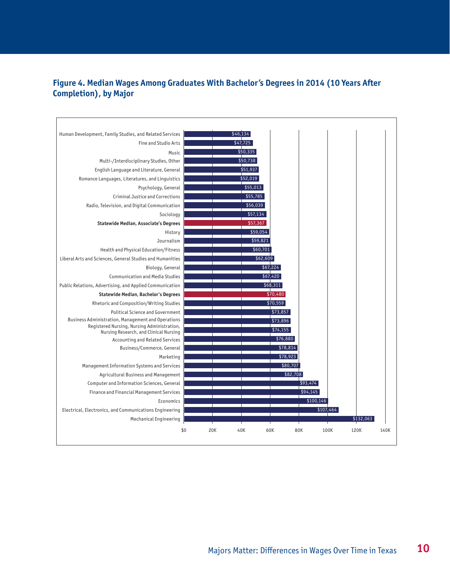#### <span id="page-14-0"></span>**Figure 4. Median Wages Among Graduates With Bachelor's Degrees in 2014 (10 Years After Completion), by Major**

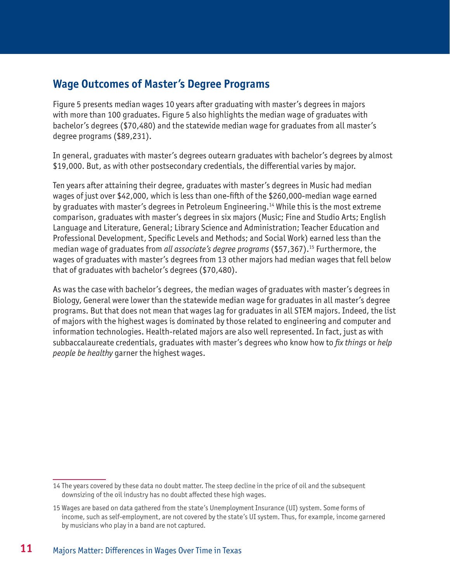### <span id="page-15-0"></span>**Wage Outcomes of Master's Degree Programs**

Figure 5 presents median wages 10 years after graduating with master's degrees in majors with more than 100 graduates. Figure 5 also highlights the median wage of graduates with bachelor's degrees (\$70,480) and the statewide median wage for graduates from all master's degree programs (\$89,231).

In general, graduates with master's degrees outearn graduates with bachelor's degrees by almost \$19,000. But, as with other postsecondary credentials, the differential varies by major.

Ten years after attaining their degree, graduates with master's degrees in Music had median wages of just over \$42,000, which is less than one-fifth of the \$260,000-median wage earned by graduates with master's degrees in Petroleum Engineering.14 While this is the most extreme comparison, graduates with master's degrees in six majors (Music; Fine and Studio Arts; English Language and Literature, General; Library Science and Administration; Teacher Education and Professional Development, Specific Levels and Methods; and Social Work) earned less than the median wage of graduates from *all associate's degree programs* (\$57,367).15 Furthermore, the wages of graduates with master's degrees from 13 other majors had median wages that fell below that of graduates with bachelor's degrees (\$70,480).

As was the case with bachelor's degrees, the median wages of graduates with master's degrees in Biology, General were lower than the statewide median wage for graduates in all master's degree programs. But that does not mean that wages lag for graduates in all STEM majors. Indeed, the list of majors with the highest wages is dominated by those related to engineering and computer and information technologies. Health-related majors are also well represented. In fact, just as with subbaccalaureate credentials, graduates with master's degrees who know how to *fix things* or *help people be healthy* garner the highest wages.

<sup>14</sup> The years covered by these data no doubt matter. The steep decline in the price of oil and the subsequent downsizing of the oil industry has no doubt affected these high wages.

<sup>15</sup> Wages are based on data gathered from the state's Unemployment Insurance (UI) system. Some forms of income, such as self-employment, are not covered by the state's UI system. Thus, for example, income garnered by musicians who play in a band are not captured.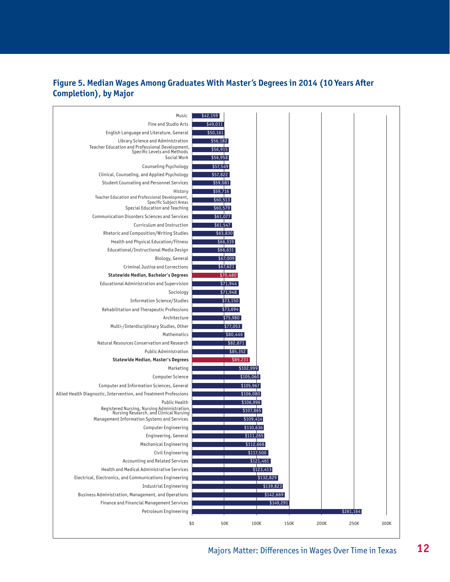#### <span id="page-16-0"></span>**Figure 5. Median Wages Among Graduates With Master's Degrees in 2014 (10 Years After Completion), by Major**

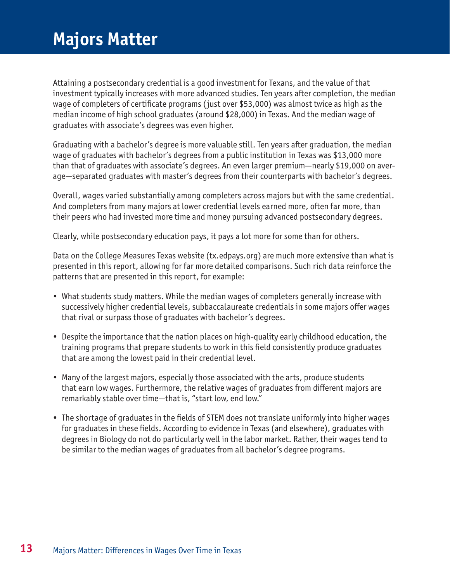## <span id="page-17-0"></span>**Majors Matter**

Attaining a postsecondary credential is a good investment for Texans, and the value of that investment typically increases with more advanced studies. Ten years after completion, the median wage of completers of certificate programs (just over \$53,000) was almost twice as high as the median income of high school graduates (around \$28,000) in Texas. And the median wage of graduates with associate's degrees was even higher.

Graduating with a bachelor's degree is more valuable still. Ten years after graduation, the median wage of graduates with bachelor's degrees from a public institution in Texas was \$13,000 more than that of graduates with associate's degrees. An even larger premium—nearly \$19,000 on average—separated graduates with master's degrees from their counterparts with bachelor's degrees.

Overall, wages varied substantially among completers across majors but with the same credential. And completers from many majors at lower credential levels earned more, often far more, than their peers who had invested more time and money pursuing advanced postsecondary degrees.

Clearly, while postsecondary education pays, it pays a lot more for some than for others.

Data on the College Measures Texas website [\(tx.edpays.org](http://tx.edpays.org)) are much more extensive than what is presented in this report, allowing for far more detailed comparisons. Such rich data reinforce the patterns that are presented in this report, for example:

- What students study matters. While the median wages of completers generally increase with successively higher credential levels, subbaccalaureate credentials in some majors offer wages that rival or surpass those of graduates with bachelor's degrees.
- Despite the importance that the nation places on high-quality early childhood education, the training programs that prepare students to work in this field consistently produce graduates that are among the lowest paid in their credential level.
- Many of the largest majors, especially those associated with the arts, produce students that earn low wages. Furthermore, the relative wages of graduates from different majors are remarkably stable over time—that is, "start low, end low."
- The shortage of graduates in the fields of STEM does not translate uniformly into higher wages for graduates in these fields. According to evidence in Texas (and elsewhere), graduates with degrees in Biology do not do particularly well in the labor market. Rather, their wages tend to be similar to the median wages of graduates from all bachelor's degree programs.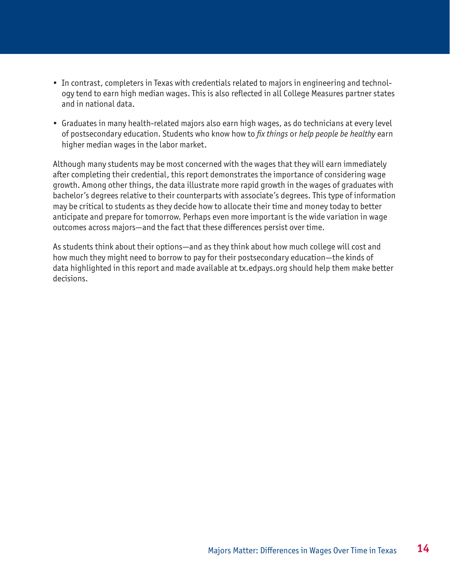- In contrast, completers in Texas with credentials related to majors in engineering and technology tend to earn high median wages. This is also reflected in all College Measures partner states and in national data.
- Graduates in many health-related majors also earn high wages, as do technicians at every level of postsecondary education. Students who know how to *fix things* or *help people be healthy* earn higher median wages in the labor market.

Although many students may be most concerned with the wages that they will earn immediately after completing their credential, this report demonstrates the importance of considering wage growth. Among other things, the data illustrate more rapid growth in the wages of graduates with bachelor's degrees relative to their counterparts with associate's degrees. This type of information may be critical to students as they decide how to allocate their time and money today to better anticipate and prepare for tomorrow. Perhaps even more important is the wide variation in wage outcomes across majors—and the fact that these differences persist over time.

As students think about their options—and as they think about how much college will cost and how much they might need to borrow to pay for their postsecondary education—the kinds of data highlighted in this report and made available at [tx.edpays.org](http://tx.edpays.org) should help them make better decisions.